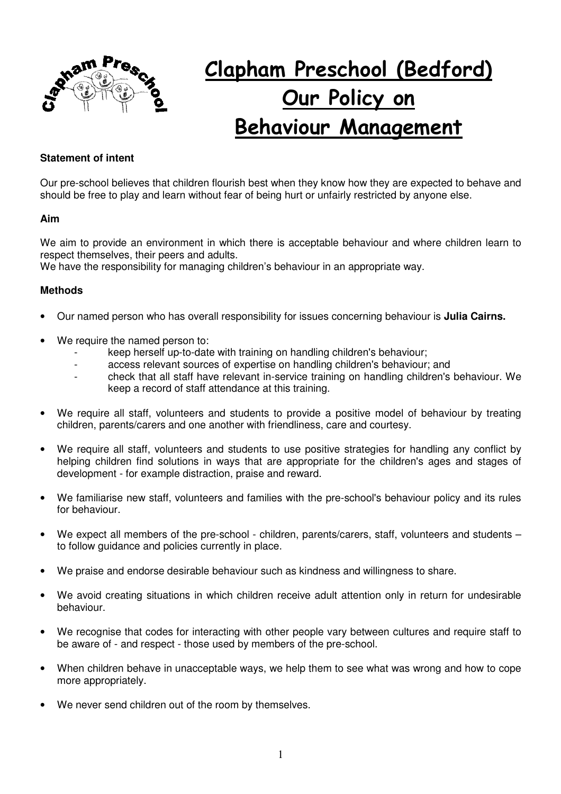

# **Clapham Preschool (Bedford) Our Policy on Behaviour Management**

# **Statement of intent**

Our pre-school believes that children flourish best when they know how they are expected to behave and should be free to play and learn without fear of being hurt or unfairly restricted by anyone else.

#### **Aim**

We aim to provide an environment in which there is acceptable behaviour and where children learn to respect themselves, their peers and adults.

We have the responsibility for managing children's behaviour in an appropriate way.

### **Methods**

- Our named person who has overall responsibility for issues concerning behaviour is **Julia Cairns.**
- We require the named person to:
	- keep herself up-to-date with training on handling children's behaviour;
	- access relevant sources of expertise on handling children's behaviour; and
	- check that all staff have relevant in-service training on handling children's behaviour. We keep a record of staff attendance at this training.
- We require all staff, volunteers and students to provide a positive model of behaviour by treating children, parents/carers and one another with friendliness, care and courtesy.
- We require all staff, volunteers and students to use positive strategies for handling any conflict by helping children find solutions in ways that are appropriate for the children's ages and stages of development - for example distraction, praise and reward.
- We familiarise new staff, volunteers and families with the pre-school's behaviour policy and its rules for behaviour.
- We expect all members of the pre-school children, parents/carers, staff, volunteers and students to follow guidance and policies currently in place.
- We praise and endorse desirable behaviour such as kindness and willingness to share.
- We avoid creating situations in which children receive adult attention only in return for undesirable behaviour.
- We recognise that codes for interacting with other people vary between cultures and require staff to be aware of - and respect - those used by members of the pre-school.
- When children behave in unacceptable ways, we help them to see what was wrong and how to cope more appropriately.
- We never send children out of the room by themselves.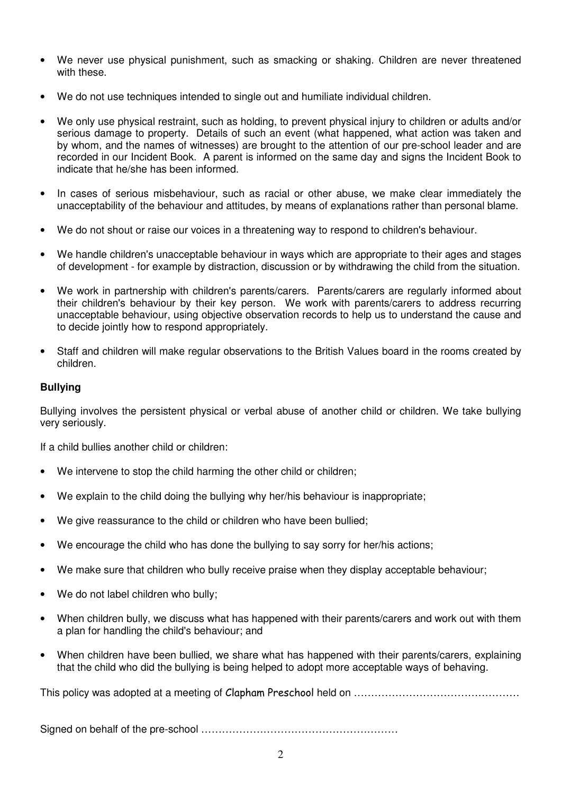- We never use physical punishment, such as smacking or shaking. Children are never threatened with these.
- We do not use techniques intended to single out and humiliate individual children.
- We only use physical restraint, such as holding, to prevent physical injury to children or adults and/or serious damage to property. Details of such an event (what happened, what action was taken and by whom, and the names of witnesses) are brought to the attention of our pre-school leader and are recorded in our Incident Book. A parent is informed on the same day and signs the Incident Book to indicate that he/she has been informed.
- In cases of serious misbehaviour, such as racial or other abuse, we make clear immediately the unacceptability of the behaviour and attitudes, by means of explanations rather than personal blame.
- We do not shout or raise our voices in a threatening way to respond to children's behaviour.
- We handle children's unacceptable behaviour in ways which are appropriate to their ages and stages of development - for example by distraction, discussion or by withdrawing the child from the situation.
- We work in partnership with children's parents/carers. Parents/carers are regularly informed about their children's behaviour by their key person. We work with parents/carers to address recurring unacceptable behaviour, using objective observation records to help us to understand the cause and to decide jointly how to respond appropriately.
- Staff and children will make regular observations to the British Values board in the rooms created by children.

## **Bullying**

Bullying involves the persistent physical or verbal abuse of another child or children. We take bullying very seriously.

If a child bullies another child or children:

- We intervene to stop the child harming the other child or children;
- We explain to the child doing the bullying why her/his behaviour is inappropriate;
- We give reassurance to the child or children who have been bullied;
- We encourage the child who has done the bullying to say sorry for her/his actions;
- We make sure that children who bully receive praise when they display acceptable behaviour;
- We do not label children who bully;
- When children bully, we discuss what has happened with their parents/carers and work out with them a plan for handling the child's behaviour; and
- When children have been bullied, we share what has happened with their parents/carers, explaining that the child who did the bullying is being helped to adopt more acceptable ways of behaving.

This policy was adopted at a meeting of Clapham Preschool held on …………………………………………

Signed on behalf of the pre-school …………………………………………………